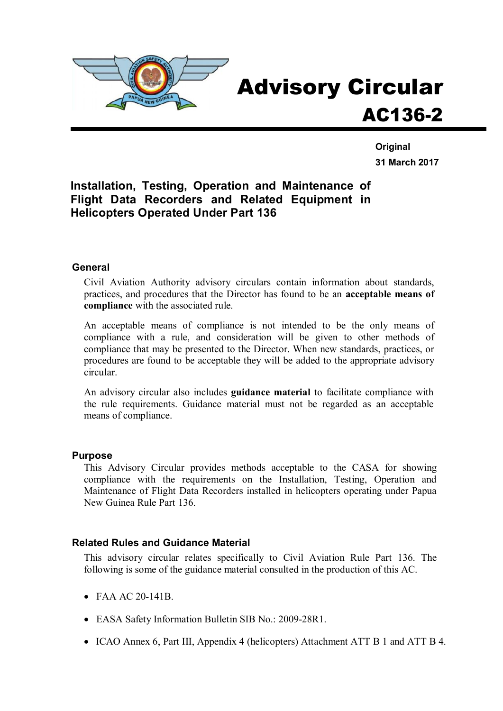

# Advisory Circular AC136-2

**Original 31 March 2017**

# **Installation, Testing, Operation and Maintenance of Flight Data Recorders and Related Equipment in Helicopters Operated Under Part 136**

#### **General**

Civil Aviation Authority advisory circulars contain information about standards, practices, and procedures that the Director has found to be an **acceptable means of compliance** with the associated rule.

An acceptable means of compliance is not intended to be the only means of compliance with a rule, and consideration will be given to other methods of compliance that may be presented to the Director. When new standards, practices, or procedures are found to be acceptable they will be added to the appropriate advisory circular.

An advisory circular also includes **guidance material** to facilitate compliance with the rule requirements. Guidance material must not be regarded as an acceptable means of compliance.

#### **Purpose**

This Advisory Circular provides methods acceptable to the CASA for showing compliance with the requirements on the Installation, Testing, Operation and Maintenance of Flight Data Recorders installed in helicopters operating under Papua New Guinea Rule Part 136.

#### **Related Rules and Guidance Material**

This advisory circular relates specifically to Civil Aviation Rule Part 136. The following is some of the guidance material consulted in the production of this AC.

- · FAA AC 20-141B.
- · EASA Safety Information Bulletin SIB No.: 2009-28R1.
- · ICAO Annex 6, Part III, Appendix 4 (helicopters) Attachment ATT B 1 and ATT B 4.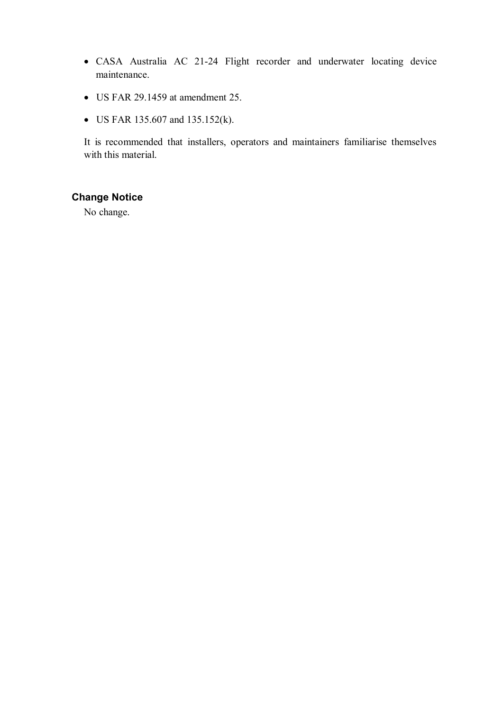- · CASA Australia AC 21-24 Flight recorder and underwater locating device maintenance.
- · US FAR 29.1459 at amendment 25.
- US FAR 135.607 and 135.152(k).

It is recommended that installers, operators and maintainers familiarise themselves with this material.

#### **Change Notice**

No change.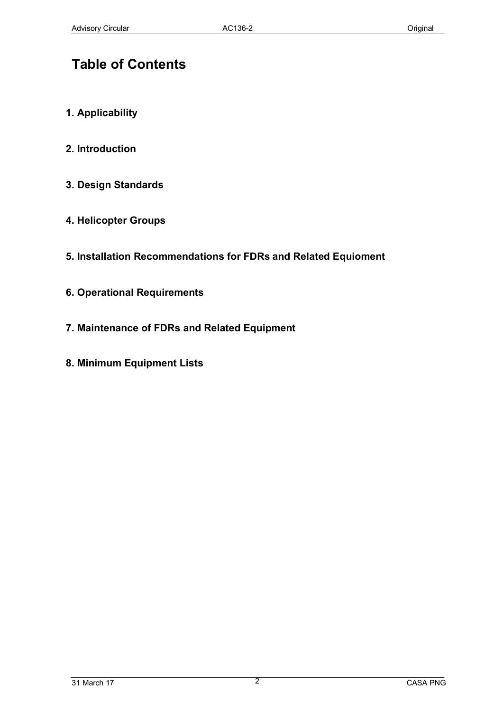# **Table of Contents**

- **1. Applicability**
- **2. Introduction**
- **3. Design Standards**
- **4. Helicopter Groups**
- **5. Installation Recommendations for FDRs and Related Equioment**
- **6. Operational Requirements**
- **7. Maintenance of FDRs and Related Equipment**
- **8. Minimum Equipment Lists**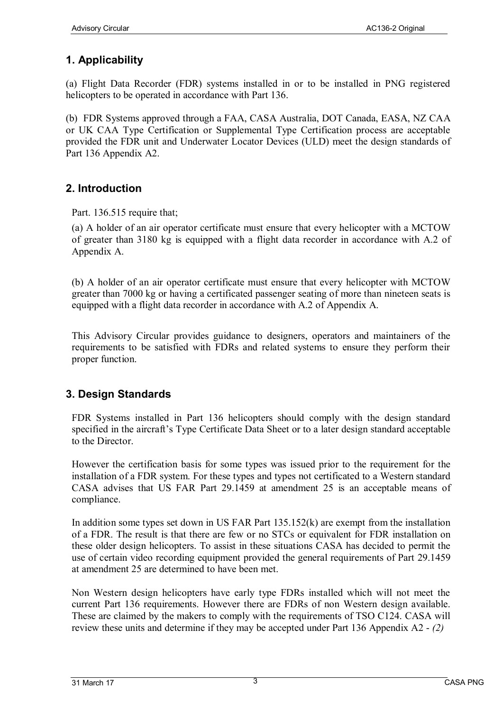# **1. Applicability**

(a) Flight Data Recorder (FDR) systems installed in or to be installed in PNG registered helicopters to be operated in accordance with Part 136.

(b) FDR Systems approved through a FAA, CASA Australia, DOT Canada, EASA, NZ CAA or UK CAA Type Certification or Supplemental Type Certification process are acceptable provided the FDR unit and Underwater Locator Devices (ULD) meet the design standards of Part 136 Appendix A2.

# **2. Introduction**

Part. 136.515 require that;

(a) A holder of an air operator certificate must ensure that every helicopter with a MCTOW of greater than 3180 kg is equipped with a flight data recorder in accordance with A.2 of Appendix A.

(b) A holder of an air operator certificate must ensure that every helicopter with MCTOW greater than 7000 kg or having a certificated passenger seating of more than nineteen seats is equipped with a flight data recorder in accordance with A.2 of Appendix A.

This Advisory Circular provides guidance to designers, operators and maintainers of the requirements to be satisfied with FDRs and related systems to ensure they perform their proper function.

# **3. Design Standards**

FDR Systems installed in Part 136 helicopters should comply with the design standard specified in the aircraft's Type Certificate Data Sheet or to a later design standard acceptable to the Director.

However the certification basis for some types was issued prior to the requirement for the installation of a FDR system. For these types and types not certificated to a Western standard CASA advises that US FAR Part 29.1459 at amendment 25 is an acceptable means of compliance.

In addition some types set down in US FAR Part 135.152(k) are exempt from the installation of a FDR. The result is that there are few or no STCs or equivalent for FDR installation on these older design helicopters. To assist in these situations CASA has decided to permit the use of certain video recording equipment provided the general requirements of Part 29.1459 at amendment 25 are determined to have been met.

Non Western design helicopters have early type FDRs installed which will not meet the current Part 136 requirements. However there are FDRs of non Western design available. These are claimed by the makers to comply with the requirements of TSO C124. CASA will review these units and determine if they may be accepted under Part 136 Appendix A2 - *(2)*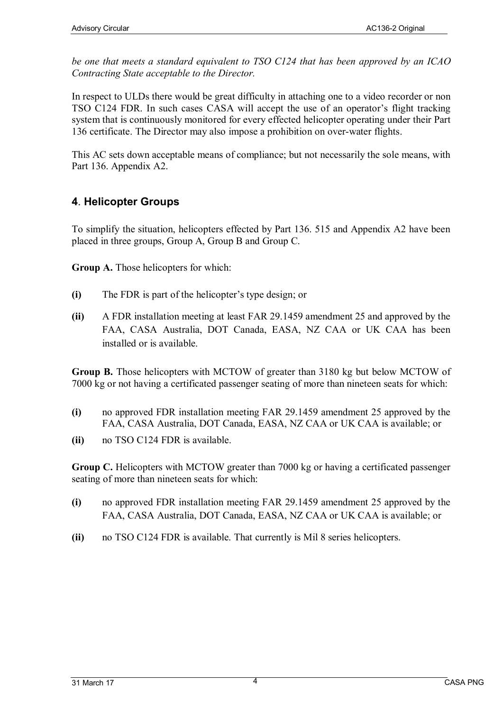*be one that meets a standard equivalent to TSO C124 that has been approved by an ICAO Contracting State acceptable to the Director.*

In respect to ULDs there would be great difficulty in attaching one to a video recorder or non TSO C124 FDR. In such cases CASA will accept the use of an operator's flight tracking system that is continuously monitored for every effected helicopter operating under their Part 136 certificate. The Director may also impose a prohibition on over-water flights.

This AC sets down acceptable means of compliance; but not necessarily the sole means, with Part 136. Appendix A2.

# **4**. **Helicopter Groups**

To simplify the situation, helicopters effected by Part 136. 515 and Appendix A2 have been placed in three groups, Group A, Group B and Group C.

**Group A.** Those helicopters for which:

- **(i)** The FDR is part of the helicopter's type design; or
- **(ii)** A FDR installation meeting at least FAR 29.1459 amendment 25 and approved by the FAA, CASA Australia, DOT Canada, EASA, NZ CAA or UK CAA has been installed or is available.

**Group B.** Those helicopters with MCTOW of greater than 3180 kg but below MCTOW of 7000 kg or not having a certificated passenger seating of more than nineteen seats for which:

- **(i)** no approved FDR installation meeting FAR 29.1459 amendment 25 approved by the FAA, CASA Australia, DOT Canada, EASA, NZ CAA or UK CAA is available; or
- **(ii)** no TSO C124 FDR is available.

**Group C.** Helicopters with MCTOW greater than 7000 kg or having a certificated passenger seating of more than nineteen seats for which:

- **(i)** no approved FDR installation meeting FAR 29.1459 amendment 25 approved by the FAA, CASA Australia, DOT Canada, EASA, NZ CAA or UK CAA is available; or
- **(ii)** no TSO C124 FDR is available. That currently is Mil 8 series helicopters.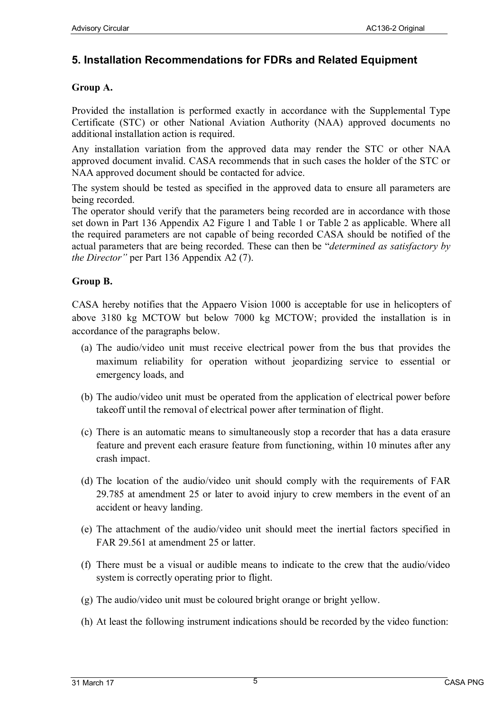# **5. Installation Recommendations for FDRs and Related Equipment**

#### **Group A.**

Provided the installation is performed exactly in accordance with the Supplemental Type Certificate (STC) or other National Aviation Authority (NAA) approved documents no additional installation action is required.

Any installation variation from the approved data may render the STC or other NAA approved document invalid. CASA recommends that in such cases the holder of the STC or NAA approved document should be contacted for advice.

The system should be tested as specified in the approved data to ensure all parameters are being recorded.

The operator should verify that the parameters being recorded are in accordance with those set down in Part 136 Appendix A2 Figure 1 and Table 1 or Table 2 as applicable. Where all the required parameters are not capable of being recorded CASA should be notified of the actual parameters that are being recorded. These can then be "*determined as satisfactory by the Director"* per Part 136 Appendix A2 (7).

#### **Group B.**

CASA hereby notifies that the Appaero Vision 1000 is acceptable for use in helicopters of above 3180 kg MCTOW but below 7000 kg MCTOW; provided the installation is in accordance of the paragraphs below.

- (a) The audio/video unit must receive electrical power from the bus that provides the maximum reliability for operation without jeopardizing service to essential or emergency loads, and
- (b) The audio/video unit must be operated from the application of electrical power before takeoff until the removal of electrical power after termination of flight.
- (c) There is an automatic means to simultaneously stop a recorder that has a data erasure feature and prevent each erasure feature from functioning, within 10 minutes after any crash impact.
- (d) The location of the audio/video unit should comply with the requirements of FAR 29.785 at amendment 25 or later to avoid injury to crew members in the event of an accident or heavy landing.
- (e) The attachment of the audio/video unit should meet the inertial factors specified in FAR 29.561 at amendment 25 or latter.
- (f) There must be a visual or audible means to indicate to the crew that the audio/video system is correctly operating prior to flight.
- (g) The audio/video unit must be coloured bright orange or bright yellow.
- (h) At least the following instrument indications should be recorded by the video function: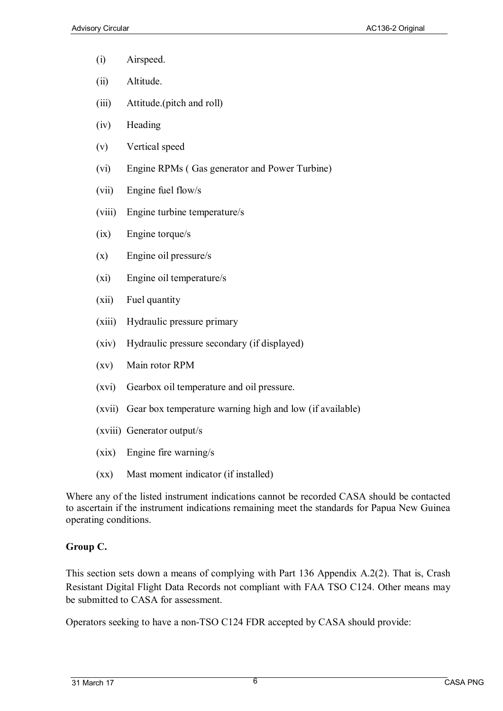- (i) Airspeed.
- (ii) Altitude.
- (iii) Attitude.(pitch and roll)
- (iv) Heading
- (v) Vertical speed
- (vi) Engine RPMs ( Gas generator and Power Turbine)
- (vii) Engine fuel flow/s
- (viii) Engine turbine temperature/s
- (ix) Engine torque/s
- (x) Engine oil pressure/s
- (xi) Engine oil temperature/s
- (xii) Fuel quantity
- (xiii) Hydraulic pressure primary
- (xiv) Hydraulic pressure secondary (if displayed)
- (xv) Main rotor RPM
- (xvi) Gearbox oil temperature and oil pressure.
- (xvii) Gear box temperature warning high and low (if available)
- (xviii) Generator output/s
- (xix) Engine fire warning/s
- (xx) Mast moment indicator (if installed)

Where any of the listed instrument indications cannot be recorded CASA should be contacted to ascertain if the instrument indications remaining meet the standards for Papua New Guinea operating conditions.

# **Group C.**

This section sets down a means of complying with Part 136 Appendix A.2(2). That is, Crash Resistant Digital Flight Data Records not compliant with FAA TSO C124. Other means may be submitted to CASA for assessment.

Operators seeking to have a non-TSO C124 FDR accepted by CASA should provide: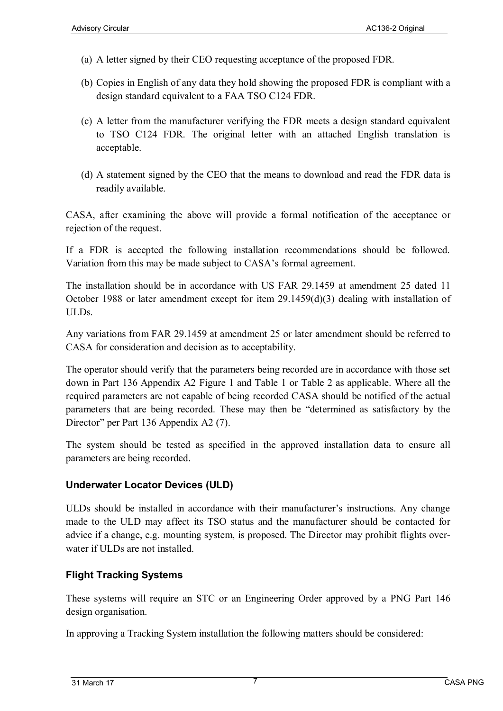- (a) A letter signed by their CEO requesting acceptance of the proposed FDR.
- (b) Copies in English of any data they hold showing the proposed FDR is compliant with a design standard equivalent to a FAA TSO C124 FDR.
- (c) A letter from the manufacturer verifying the FDR meets a design standard equivalent to TSO C124 FDR. The original letter with an attached English translation is acceptable.
- (d) A statement signed by the CEO that the means to download and read the FDR data is readily available.

CASA, after examining the above will provide a formal notification of the acceptance or rejection of the request.

If a FDR is accepted the following installation recommendations should be followed. Variation from this may be made subject to CASA's formal agreement.

The installation should be in accordance with US FAR 29.1459 at amendment 25 dated 11 October 1988 or later amendment except for item 29.1459(d)(3) dealing with installation of ULDs.

Any variations from FAR 29.1459 at amendment 25 or later amendment should be referred to CASA for consideration and decision as to acceptability.

The operator should verify that the parameters being recorded are in accordance with those set down in Part 136 Appendix A2 Figure 1 and Table 1 or Table 2 as applicable. Where all the required parameters are not capable of being recorded CASA should be notified of the actual parameters that are being recorded. These may then be "determined as satisfactory by the Director" per Part 136 Appendix A2 (7).

The system should be tested as specified in the approved installation data to ensure all parameters are being recorded.

# **Underwater Locator Devices (ULD)**

ULDs should be installed in accordance with their manufacturer's instructions. Any change made to the ULD may affect its TSO status and the manufacturer should be contacted for advice if a change, e.g. mounting system, is proposed. The Director may prohibit flights overwater if ULDs are not installed.

# **Flight Tracking Systems**

These systems will require an STC or an Engineering Order approved by a PNG Part 146 design organisation.

In approving a Tracking System installation the following matters should be considered: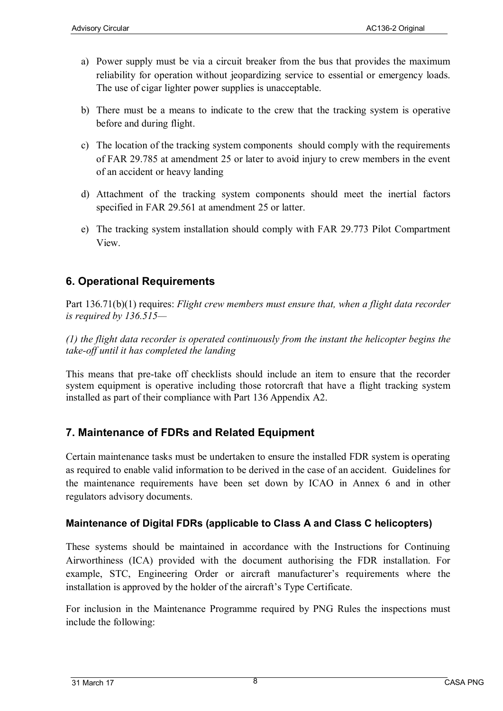- a) Power supply must be via a circuit breaker from the bus that provides the maximum reliability for operation without jeopardizing service to essential or emergency loads. The use of cigar lighter power supplies is unacceptable.
- b) There must be a means to indicate to the crew that the tracking system is operative before and during flight.
- c) The location of the tracking system components should comply with the requirements of FAR 29.785 at amendment 25 or later to avoid injury to crew members in the event of an accident or heavy landing
- d) Attachment of the tracking system components should meet the inertial factors specified in FAR 29.561 at amendment 25 or latter.
- e) The tracking system installation should comply with FAR 29.773 Pilot Compartment View.

# **6. Operational Requirements**

Part 136.71(b)(1) requires: *Flight crew members must ensure that, when a flight data recorder is required by 136.515—*

*(1) the flight data recorder is operated continuously from the instant the helicopter begins the take-off until it has completed the landing*

This means that pre-take off checklists should include an item to ensure that the recorder system equipment is operative including those rotorcraft that have a flight tracking system installed as part of their compliance with Part 136 Appendix A2.

# **7. Maintenance of FDRs and Related Equipment**

Certain maintenance tasks must be undertaken to ensure the installed FDR system is operating as required to enable valid information to be derived in the case of an accident. Guidelines for the maintenance requirements have been set down by ICAO in Annex 6 and in other regulators advisory documents.

# **Maintenance of Digital FDRs (applicable to Class A and Class C helicopters)**

These systems should be maintained in accordance with the Instructions for Continuing Airworthiness (ICA) provided with the document authorising the FDR installation. For example, STC, Engineering Order or aircraft manufacturer's requirements where the installation is approved by the holder of the aircraft's Type Certificate.

For inclusion in the Maintenance Programme required by PNG Rules the inspections must include the following: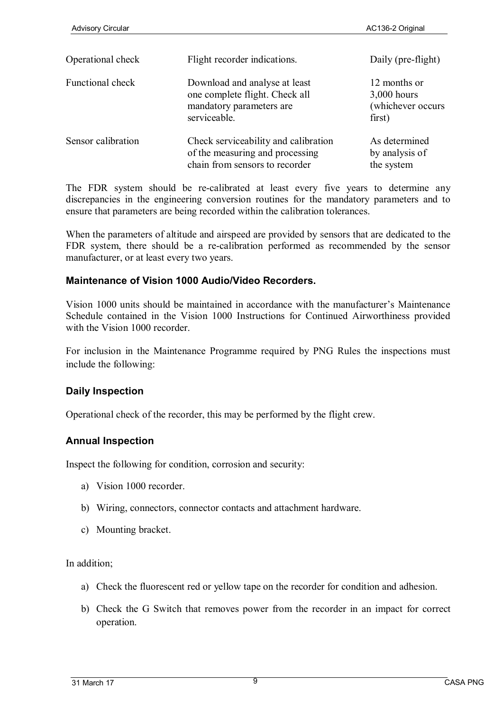| Operational check  | Flight recorder indications.                                                                                | Daily (pre-flight)                                           |
|--------------------|-------------------------------------------------------------------------------------------------------------|--------------------------------------------------------------|
| Functional check   | Download and analyse at least<br>one complete flight. Check all<br>mandatory parameters are<br>serviceable. | 12 months or<br>$3,000$ hours<br>(whichever occurs<br>first) |
| Sensor calibration | Check serviceability and calibration<br>of the measuring and processing<br>chain from sensors to recorder   | As determined<br>by analysis of<br>the system                |

The FDR system should be re-calibrated at least every five years to determine any discrepancies in the engineering conversion routines for the mandatory parameters and to ensure that parameters are being recorded within the calibration tolerances.

When the parameters of altitude and airspeed are provided by sensors that are dedicated to the FDR system, there should be a re-calibration performed as recommended by the sensor manufacturer, or at least every two years.

#### **Maintenance of Vision 1000 Audio/Video Recorders.**

Vision 1000 units should be maintained in accordance with the manufacturer's Maintenance Schedule contained in the Vision 1000 Instructions for Continued Airworthiness provided with the Vision 1000 recorder.

For inclusion in the Maintenance Programme required by PNG Rules the inspections must include the following:

#### **Daily Inspection**

Operational check of the recorder, this may be performed by the flight crew.

#### **Annual Inspection**

Inspect the following for condition, corrosion and security:

- a) Vision 1000 recorder.
- b) Wiring, connectors, connector contacts and attachment hardware.
- c) Mounting bracket.

In addition;

- a) Check the fluorescent red or yellow tape on the recorder for condition and adhesion.
- b) Check the G Switch that removes power from the recorder in an impact for correct operation.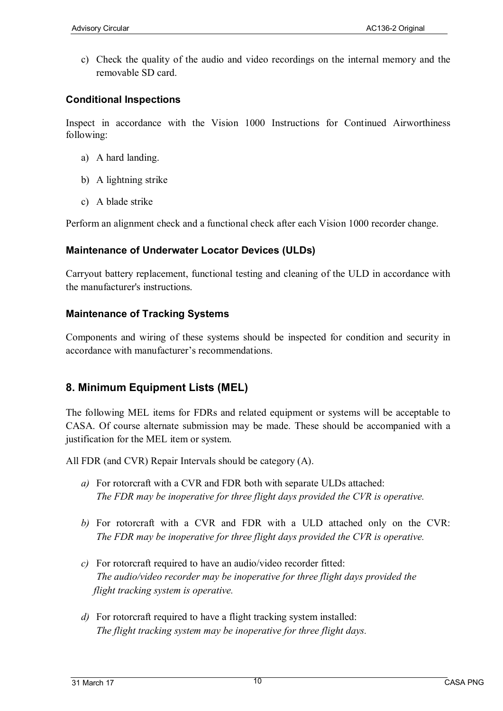c) Check the quality of the audio and video recordings on the internal memory and the removable SD card.

#### **Conditional Inspections**

Inspect in accordance with the Vision 1000 Instructions for Continued Airworthiness following:

- a) A hard landing.
- b) A lightning strike
- c) A blade strike

Perform an alignment check and a functional check after each Vision 1000 recorder change.

#### **Maintenance of Underwater Locator Devices (ULDs)**

Carryout battery replacement, functional testing and cleaning of the ULD in accordance with the manufacturer's instructions.

#### **Maintenance of Tracking Systems**

Components and wiring of these systems should be inspected for condition and security in accordance with manufacturer's recommendations.

# **8. Minimum Equipment Lists (MEL)**

The following MEL items for FDRs and related equipment or systems will be acceptable to CASA. Of course alternate submission may be made. These should be accompanied with a justification for the MEL item or system.

All FDR (and CVR) Repair Intervals should be category (A).

- *a)* For rotorcraft with a CVR and FDR both with separate ULDs attached: *The FDR may be inoperative for three flight days provided the CVR is operative.*
- *b)* For rotorcraft with a CVR and FDR with a ULD attached only on the CVR: *The FDR may be inoperative for three flight days provided the CVR is operative.*
- *c)* For rotorcraft required to have an audio/video recorder fitted: *The audio/video recorder may be inoperative for three flight days provided the flight tracking system is operative.*
- *d)* For rotorcraft required to have a flight tracking system installed: *The flight tracking system may be inoperative for three flight days.*